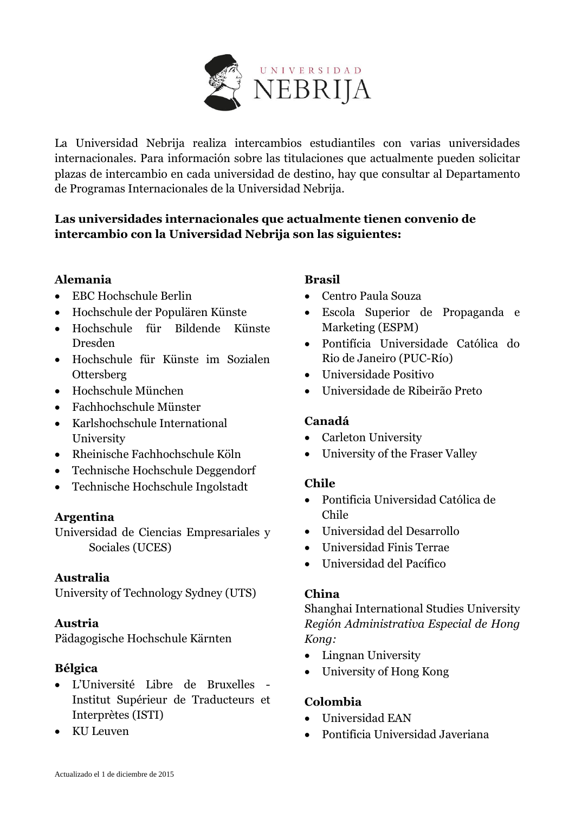

La Universidad Nebrija realiza intercambios estudiantiles con varias universidades internacionales. Para información sobre las titulaciones que actualmente pueden solicitar plazas de intercambio en cada universidad de destino, hay que consultar al Departamento de Programas Internacionales de la Universidad Nebrija.

# **Las universidades internacionales que actualmente tienen convenio de intercambio con la Universidad Nebrija son las siguientes:**

# **Alemania**

- EBC Hochschule Berlin
- Hochschule der Populären Künste
- Hochschule für Bildende Künste Dresden
- Hochschule für Künste im Sozialen **Ottersberg**
- Hochschule München
- Fachhochschule Münster
- Karlshochschule International University
- Rheinische Fachhochschule Köln
- Technische Hochschule Deggendorf
- Technische Hochschule Ingolstadt

### **Argentina**

Universidad de Ciencias Empresariales y Sociales (UCES)

### **Australia**

University of Technology Sydney (UTS)

### **Austria**

Pädagogische Hochschule Kärnten

# **Bélgica**

- L'Université Libre de Bruxelles Institut Supérieur de Traducteurs et Interprètes (ISTI)
- KU Leuven

# **Brasil**

- Centro Paula Souza
- Escola Superior de Propaganda e Marketing (ESPM)
- Pontifícia Universidade Católica do Rio de Janeiro (PUC-Río)
- Universidade Positivo
- Universidade de Ribeirão Preto

# **Canadá**

- Carleton University
- University of the Fraser Valley

# **Chile**

- Pontificia Universidad Católica de Chile
- Universidad del Desarrollo
- Universidad Finis Terrae
- Universidad del Pacífico

### **China**

Shanghai International Studies University *Región Administrativa Especial de Hong Kong:* 

- Lingnan University
- University of Hong Kong

# **Colombia**

- Universidad EAN
- Pontificia Universidad Javeriana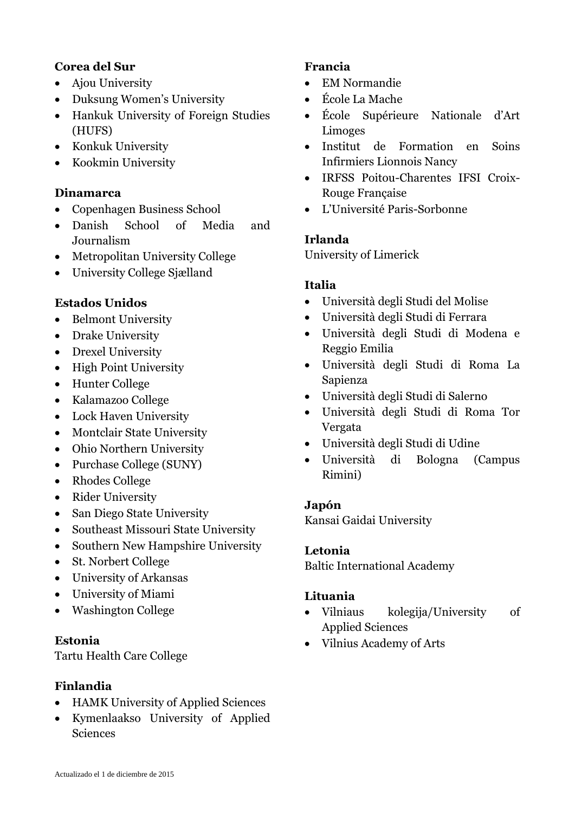### **Corea del Sur**

- Ajou University
- Duksung Women's University
- Hankuk University of Foreign Studies (HUFS)
- Konkuk University
- Kookmin University

### **Dinamarca**

- Copenhagen Business School
- Danish School of Media and Journalism
- Metropolitan University College
- University College Sjælland

### **Estados Unidos**

- Belmont University
- Drake University
- Drexel University
- High Point University
- Hunter College
- Kalamazoo College
- Lock Haven University
- Montclair State University
- Ohio Northern University
- Purchase College (SUNY)
- Rhodes College
- Rider University
- San Diego State University
- Southeast Missouri State University
- Southern New Hampshire University
- St. Norbert College
- University of Arkansas
- University of Miami
- Washington College

### **Estonia**

Tartu Health Care College

# **Finlandia**

- HAMK University of Applied Sciences
- Kymenlaakso University of Applied Sciences

### **Francia**

- EM Normandie
- École La Mache
- École Supérieure Nationale d'Art Limoges
- Institut de Formation en Soins Infirmiers Lionnois Nancy
- IRFSS Poitou-Charentes IFSI Croix-Rouge Française
- L'Université Paris-Sorbonne

# **Irlanda**

University of Limerick

# **Italia**

- Università degli Studi del Molise
- Università degli Studi di Ferrara
- Università degli Studi di Modena e Reggio Emilia
- Università degli Studi di Roma La Sapienza
- Università degli Studi di Salerno
- Università degli Studi di Roma Tor Vergata
- Università degli Studi di Udine
- Università di Bologna (Campus Rimini)

#### **Japón**

Kansai Gaidai University

### **Letonia**

Baltic International Academy

### **Lituania**

- Vilniaus kolegija/University of Applied Sciences
- Vilnius Academy of Arts